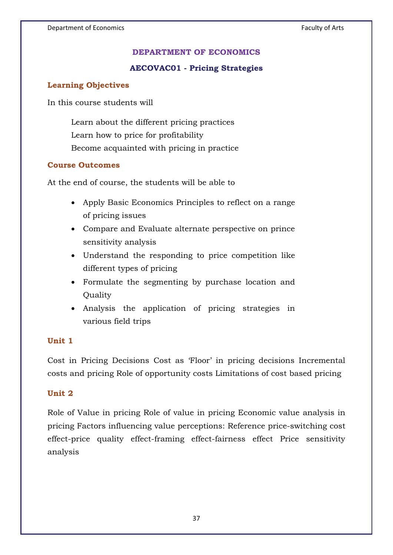## **DEPARTMENT OF ECONOMICS**

### **AECOVAC01 - Pricing Strategies**

#### **Learning Objectives**

In this course students will

Learn about the different pricing practices Learn how to price for profitability Become acquainted with pricing in practice

#### **Course Outcomes**

At the end of course, the students will be able to

- Apply Basic Economics Principles to reflect on a range of pricing issues
- Compare and Evaluate alternate perspective on prince sensitivity analysis
- Understand the responding to price competition like different types of pricing
- Formulate the segmenting by purchase location and Quality
- Analysis the application of pricing strategies in various field trips

#### **Unit 1**

Cost in Pricing Decisions Cost as 'Floor' in pricing decisions Incremental costs and pricing Role of opportunity costs Limitations of cost based pricing

#### **Unit 2**

Role of Value in pricing Role of value in pricing Economic value analysis in pricing Factors influencing value perceptions: Reference price-switching cost effect-price quality effect-framing effect-fairness effect Price sensitivity analysis